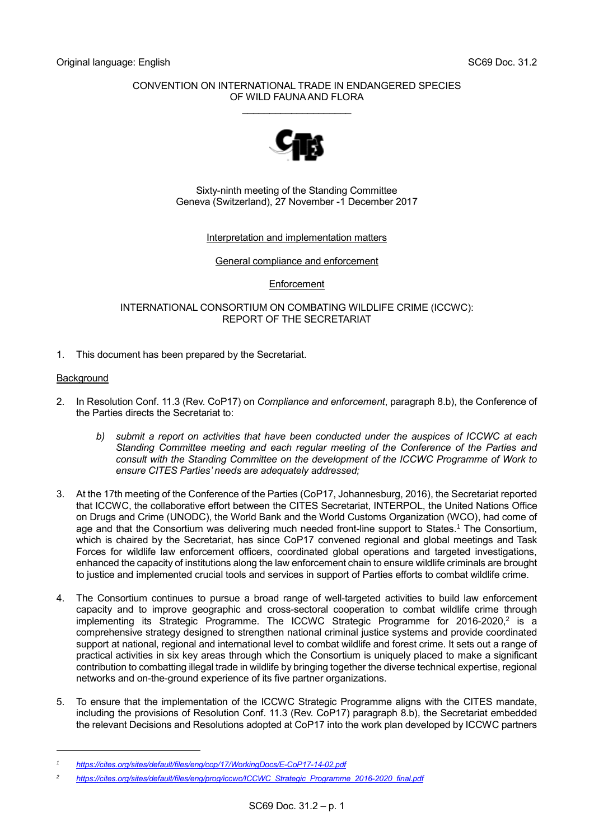### CONVENTION ON INTERNATIONAL TRADE IN ENDANGERED SPECIES OF WILD FAUNA AND FLORA

\_\_\_\_\_\_\_\_\_\_\_\_\_\_\_\_\_\_\_\_



Sixty-ninth meeting of the Standing Committee Geneva (Switzerland), 27 November -1 December 2017

### Interpretation and implementation matters

General compliance and enforcement

## **Enforcement**

INTERNATIONAL CONSORTIUM ON COMBATING WILDLIFE CRIME (ICCWC): REPORT OF THE SECRETARIAT

1. This document has been prepared by the Secretariat.

## **Background**

- 2. In Resolution Conf. 11.3 (Rev. CoP17) on *Compliance and enforcement*, paragraph 8.b), the Conference of the Parties directs the Secretariat to:
	- *b) submit a report on activities that have been conducted under the auspices of ICCWC at each Standing Committee meeting and each regular meeting of the Conference of the Parties and consult with the Standing Committee on the development of the ICCWC Programme of Work to ensure CITES Parties' needs are adequately addressed;*
- 3. At the 17th meeting of the Conference of the Parties (CoP17, Johannesburg, 2016), the Secretariat reported that ICCWC, the collaborative effort between the CITES Secretariat, INTERPOL, the United Nations Office on Drugs and Crime (UNODC), the World Bank and the World Customs Organization (WCO), had come of age and that the Consortium was delivering much needed front-line support to States. <sup>1</sup> The Consortium, which is chaired by the Secretariat, has since CoP17 convened regional and global meetings and Task Forces for wildlife law enforcement officers, coordinated global operations and targeted investigations, enhanced the capacity of institutions along the law enforcement chain to ensure wildlife criminals are brought to justice and implemented crucial tools and services in support of Parties efforts to combat wildlife crime.
- 4. The Consortium continues to pursue a broad range of well-targeted activities to build law enforcement capacity and to improve geographic and cross-sectoral cooperation to combat wildlife crime through implementing its Strategic Programme. The ICCWC Strategic Programme for 2016-2020,<sup>2</sup> is a comprehensive strategy designed to strengthen national criminal justice systems and provide coordinated support at national, regional and international level to combat wildlife and forest crime. It sets out a range of practical activities in six key areas through which the Consortium is uniquely placed to make a significant contribution to combatting illegal trade in wildlife by bringing together the diverse technical expertise, regional networks and on-the-ground experience of its five partner organizations.
- 5. To ensure that the implementation of the ICCWC Strategic Programme aligns with the CITES mandate, including the provisions of Resolution Conf. 11.3 (Rev. CoP17) paragraph 8.b), the Secretariat embedded the relevant Decisions and Resolutions adopted at CoP17 into the work plan developed by ICCWC partners

*<sup>1</sup> <https://cites.org/sites/default/files/eng/cop/17/WorkingDocs/E-CoP17-14-02.pdf>*

*<sup>2</sup> [https://cites.org/sites/default/files/eng/prog/iccwc/ICCWC\\_Strategic\\_Programme\\_2016-2020\\_final.pdf](https://cites.org/sites/default/files/eng/prog/iccwc/ICCWC_Strategic_Programme_2016-2020_final.pdf)*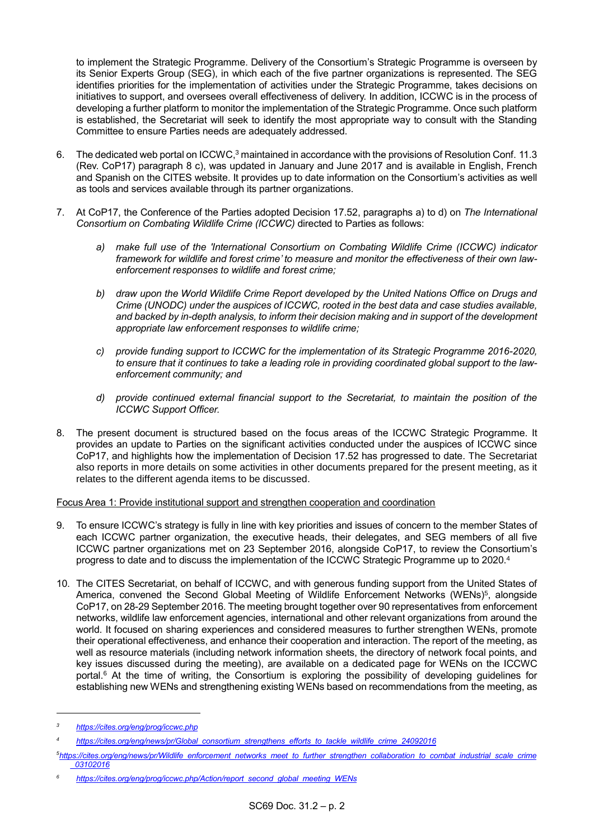to implement the Strategic Programme. Delivery of the Consortium's Strategic Programme is overseen by its Senior Experts Group (SEG), in which each of the five partner organizations is represented. The SEG identifies priorities for the implementation of activities under the Strategic Programme, takes decisions on initiatives to support, and oversees overall effectiveness of delivery. In addition, ICCWC is in the process of developing a further platform to monitor the implementation of the Strategic Programme. Once such platform is established, the Secretariat will seek to identify the most appropriate way to consult with the Standing Committee to ensure Parties needs are adequately addressed.

- 6. The dedicated web portal on ICCWC.<sup>3</sup> maintained in accordance with the provisions of Resolution Conf. 11.3 (Rev. CoP17) paragraph 8 c), was updated in January and June 2017 and is available in English, French and Spanish on the CITES website. It provides up to date information on the Consortium's activities as well as tools and services available through its partner organizations.
- 7. At CoP17, the Conference of the Parties adopted Decision 17.52, paragraphs a) to d) on *The International Consortium on Combating Wildlife Crime (ICCWC)* directed to Parties as follows:
	- *a) make full use of the 'International Consortium on Combating Wildlife Crime (ICCWC) indicator framework for wildlife and forest crime' to measure and monitor the effectiveness of their own lawenforcement responses to wildlife and forest crime;*
	- *b) draw upon the World Wildlife Crime Report developed by the United Nations Office on Drugs and Crime (UNODC) under the auspices of ICCWC, rooted in the best data and case studies available, and backed by in-depth analysis, to inform their decision making and in support of the development appropriate law enforcement responses to wildlife crime;*
	- *c) provide funding support to ICCWC for the implementation of its Strategic Programme 2016-2020, to ensure that it continues to take a leading role in providing coordinated global support to the lawenforcement community; and*
	- *d) provide continued external financial support to the Secretariat, to maintain the position of the ICCWC Support Officer.*
- 8. The present document is structured based on the focus areas of the ICCWC Strategic Programme. It provides an update to Parties on the significant activities conducted under the auspices of ICCWC since CoP17, and highlights how the implementation of Decision 17.52 has progressed to date. The Secretariat also reports in more details on some activities in other documents prepared for the present meeting, as it relates to the different agenda items to be discussed.

## Focus Area 1: Provide institutional support and strengthen cooperation and coordination

- 9. To ensure ICCWC's strategy is fully in line with key priorities and issues of concern to the member States of each ICCWC partner organization, the executive heads, their delegates, and SEG members of all five ICCWC partner organizations met on 23 September 2016, alongside CoP17, to review the Consortium's progress to date and to discuss the implementation of the ICCWC Strategic Programme up to 2020. 4
- 10. The CITES Secretariat, on behalf of ICCWC, and with generous funding support from the United States of America, convened the Second Global Meeting of Wildlife Enforcement Networks (WENs)<sup>5</sup>, alongside CoP17, on 28-29 September 2016. The meeting brought together over 90 representatives from enforcement networks, wildlife law enforcement agencies, international and other relevant organizations from around the world. It focused on sharing experiences and considered measures to further strengthen WENs, promote their operational effectiveness, and enhance their cooperation and interaction. The report of the meeting, as well as resource materials (including network information sheets, the directory of network focal points, and key issues discussed during the meeting), are available on a dedicated page for WENs on the ICCWC portal. <sup>6</sup> At the time of writing, the Consortium is exploring the possibility of developing guidelines for establishing new WENs and strengthening existing WENs based on recommendations from the meeting, as

*<sup>3</sup> <https://cites.org/eng/prog/iccwc.php>*

*<sup>4</sup> [https://cites.org/eng/news/pr/Global\\_consortium\\_strengthens\\_efforts\\_to\\_tackle\\_wildlife\\_crime\\_24092016](https://cites.org/eng/news/pr/Global_consortium_strengthens_efforts_to_tackle_wildlife_crime_24092016)*

*<sup>5</sup>[https://cites.org/eng/news/pr/Wildlife\\_enforcement\\_networks\\_meet\\_to\\_further\\_strengthen\\_collaboration\\_to\\_combat\\_industrial\\_scale\\_crime](https://cites.org/eng/news/pr/Wildlife_enforcement_networks_meet_to_further_strengthen_collaboration_to_combat_industrial_scale_crime_03102016) [\\_03102016](https://cites.org/eng/news/pr/Wildlife_enforcement_networks_meet_to_further_strengthen_collaboration_to_combat_industrial_scale_crime_03102016)*

*<sup>6</sup> [https://cites.org/eng/prog/iccwc.php/Action/report\\_second\\_global\\_meeting\\_WENs](https://cites.org/eng/prog/iccwc.php/Action/report_second_global_meeting_WENs)*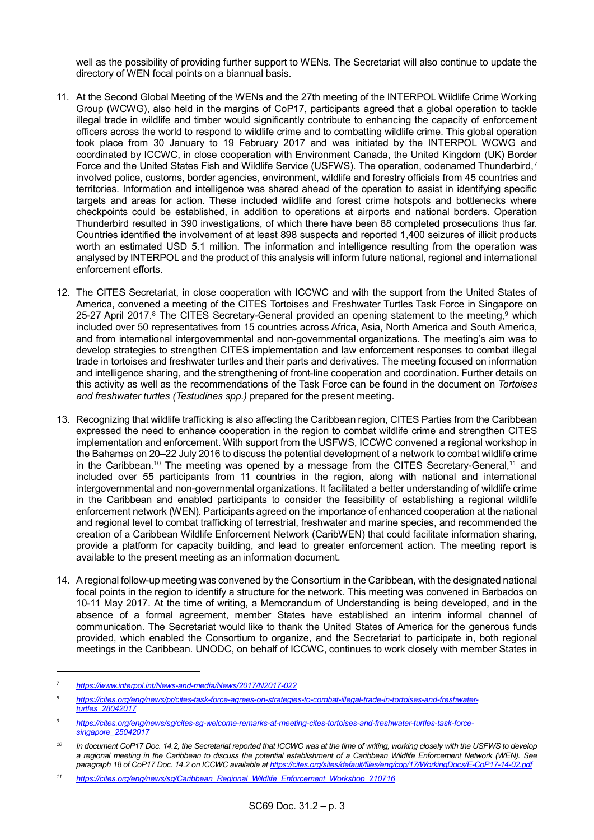well as the possibility of providing further support to WENs. The Secretariat will also continue to update the directory of WEN focal points on a biannual basis.

- 11. At the Second Global Meeting of the WENs and the 27th meeting of the INTERPOL Wildlife Crime Working Group (WCWG), also held in the margins of CoP17, participants agreed that a global operation to tackle illegal trade in wildlife and timber would significantly contribute to enhancing the capacity of enforcement officers across the world to respond to wildlife crime and to combatting wildlife crime. This global operation took place from 30 January to 19 February 2017 and was initiated by the INTERPOL WCWG and coordinated by ICCWC, in close cooperation with Environment Canada, the United Kingdom (UK) Border Force and the United States Fish and Wildlife Service (USFWS). The operation, codenamed Thunderbird, 7 involved police, customs, border agencies, environment, wildlife and forestry officials from 45 countries and territories. Information and intelligence was shared ahead of the operation to assist in identifying specific targets and areas for action. These included wildlife and forest crime hotspots and bottlenecks where checkpoints could be established, in addition to operations at airports and national borders. Operation Thunderbird resulted in 390 investigations, of which there have been 88 completed prosecutions thus far. Countries identified the involvement of at least 898 suspects and reported 1,400 seizures of illicit products worth an estimated USD 5.1 million. The information and intelligence resulting from the operation was analysed by INTERPOL and the product of this analysis will inform future national, regional and international enforcement efforts.
- 12. The CITES Secretariat, in close cooperation with ICCWC and with the support from the United States of America, convened a meeting of the CITES Tortoises and Freshwater Turtles Task Force in Singapore on 25-27 April 2017.<sup>8</sup> The CITES Secretary-General provided an opening statement to the meeting,<sup>9</sup> which included over 50 representatives from 15 countries across Africa, Asia, North America and South America, and from international intergovernmental and non-governmental organizations. The meeting's aim was to develop strategies to strengthen CITES implementation and law enforcement responses to combat illegal trade in tortoises and freshwater turtles and their parts and derivatives. The meeting focused on information and intelligence sharing, and the strengthening of front-line cooperation and coordination. Further details on this activity as well as the recommendations of the Task Force can be found in the document on *Tortoises and freshwater turtles (Testudines spp.)* prepared for the present meeting.
- 13. Recognizing that wildlife trafficking is also affecting the Caribbean region, CITES Parties from the Caribbean expressed the need to enhance cooperation in the region to combat wildlife crime and strengthen CITES implementation and enforcement. With support from the USFWS, ICCWC convened a regional workshop in the Bahamas on 20–22 July 2016 to discuss the potential development of a network to combat wildlife crime in the Caribbean.<sup>10</sup> The meeting was opened by a message from the CITES Secretary-General,<sup>11</sup> and included over 55 participants from 11 countries in the region, along with national and international intergovernmental and non-governmental organizations. It facilitated a better understanding of wildlife crime in the Caribbean and enabled participants to consider the feasibility of establishing a regional wildlife enforcement network (WEN). Participants agreed on the importance of enhanced cooperation at the national and regional level to combat trafficking of terrestrial, freshwater and marine species, and recommended the creation of a Caribbean Wildlife Enforcement Network (CaribWEN) that could facilitate information sharing, provide a platform for capacity building, and lead to greater enforcement action. The meeting report is available to the present meeting as an information document.
- 14. A regional follow-up meeting was convened by the Consortium in the Caribbean, with the designated national focal points in the region to identify a structure for the network. This meeting was convened in Barbados on 10-11 May 2017. At the time of writing, a Memorandum of Understanding is being developed, and in the absence of a formal agreement, member States have established an interim informal channel of communication. The Secretariat would like to thank the United States of America for the generous funds provided, which enabled the Consortium to organize, and the Secretariat to participate in, both regional meetings in the Caribbean. UNODC, on behalf of ICCWC, continues to work closely with member States in

-

*<sup>7</sup> <https://www.interpol.int/News-and-media/News/2017/N2017-022>*

*<sup>8</sup> [https://cites.org/eng/news/pr/cites-task-force-agrees-on-strategies-to-combat-illegal-trade-in-tortoises-and-freshwater](https://cites.org/eng/news/pr/cites-task-force-agrees-on-strategies-to-combat-illegal-trade-in-tortoises-and-freshwater-turtles_28042017)[turtles\\_28042017](https://cites.org/eng/news/pr/cites-task-force-agrees-on-strategies-to-combat-illegal-trade-in-tortoises-and-freshwater-turtles_28042017)*

*<sup>9</sup> [https://cites.org/eng/news/sg/cites-sg-welcome-remarks-at-meeting-cites-tortoises-and-freshwater-turtles-task-force](https://cites.org/eng/news/sg/cites-sg-welcome-remarks-at-meeting-cites-tortoises-and-freshwater-turtles-task-force-singapore_25042017)[singapore\\_25042017](https://cites.org/eng/news/sg/cites-sg-welcome-remarks-at-meeting-cites-tortoises-and-freshwater-turtles-task-force-singapore_25042017)*

*<sup>10</sup> In document CoP17 Doc. 14.2, the Secretariat reported that ICCWC was at the time of writing, working closely with the USFWS to develop a regional meeting in the Caribbean to discuss the potential establishment of a Caribbean Wildlife Enforcement Network (WEN). See paragraph 18 of CoP17 Doc. 14.2 on ICCWC available at <https://cites.org/sites/default/files/eng/cop/17/WorkingDocs/E-CoP17-14-02.pdf>*

*<sup>11</sup> [https://cites.org/eng/news/sg/Caribbean\\_Regional\\_Wildlife\\_Enforcement\\_Workshop\\_210716](https://cites.org/eng/news/sg/Caribbean_Regional_Wildlife_Enforcement_Workshop_210716)*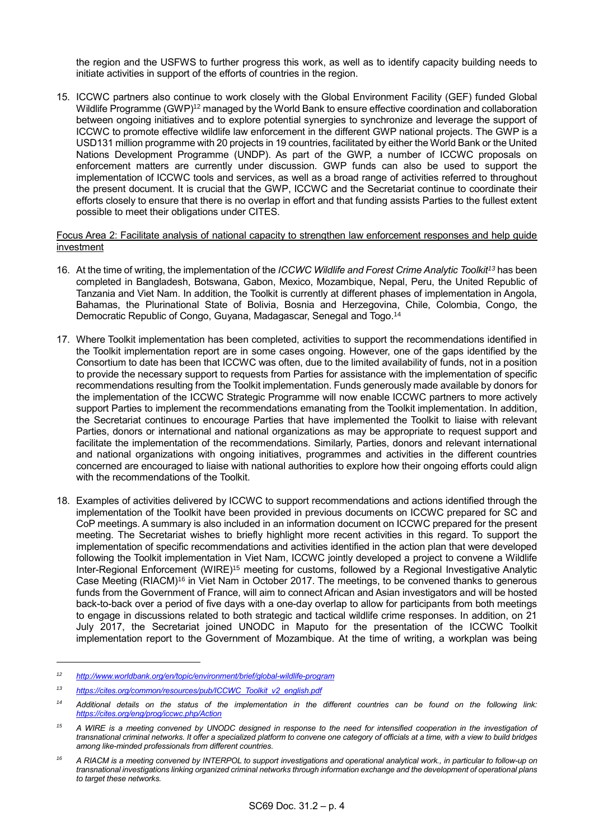the region and the USFWS to further progress this work, as well as to identify capacity building needs to initiate activities in support of the efforts of countries in the region.

15. ICCWC partners also continue to work closely with the Global Environment Facility (GEF) funded Global Wildlife Programme (GWP)<sup>12</sup> managed by the World Bank to ensure effective coordination and collaboration between ongoing initiatives and to explore potential synergies to synchronize and leverage the support of ICCWC to promote effective wildlife law enforcement in the different GWP national projects. The GWP is a USD131 million programme with 20 projects in 19 countries, facilitated by either the World Bank or the United Nations Development Programme (UNDP). As part of the GWP, a number of ICCWC proposals on enforcement matters are currently under discussion. GWP funds can also be used to support the implementation of ICCWC tools and services, as well as a broad range of activities referred to throughout the present document. It is crucial that the GWP, ICCWC and the Secretariat continue to coordinate their efforts closely to ensure that there is no overlap in effort and that funding assists Parties to the fullest extent possible to meet their obligations under CITES.

#### Focus Area 2: Facilitate analysis of national capacity to strengthen law enforcement responses and help guide investment

- 16. At the time of writing, the implementation of the *ICCWC Wildlife and Forest Crime Analytic Toolkit<sup>13</sup>* has been completed in Bangladesh, Botswana, Gabon, Mexico, Mozambique, Nepal, Peru, the United Republic of Tanzania and Viet Nam. In addition, the Toolkit is currently at different phases of implementation in Angola, Bahamas, the Plurinational State of Bolivia, Bosnia and Herzegovina, Chile, Colombia, Congo, the Democratic Republic of Congo, Guyana, Madagascar, Senegal and Togo. 14
- 17. Where Toolkit implementation has been completed, activities to support the recommendations identified in the Toolkit implementation report are in some cases ongoing. However, one of the gaps identified by the Consortium to date has been that ICCWC was often, due to the limited availability of funds, not in a position to provide the necessary support to requests from Parties for assistance with the implementation of specific recommendations resulting from the Toolkit implementation. Funds generously made available by donors for the implementation of the ICCWC Strategic Programme will now enable ICCWC partners to more actively support Parties to implement the recommendations emanating from the Toolkit implementation. In addition, the Secretariat continues to encourage Parties that have implemented the Toolkit to liaise with relevant Parties, donors or international and national organizations as may be appropriate to request support and facilitate the implementation of the recommendations. Similarly, Parties, donors and relevant international and national organizations with ongoing initiatives, programmes and activities in the different countries concerned are encouraged to liaise with national authorities to explore how their ongoing efforts could align with the recommendations of the Toolkit.
- 18. Examples of activities delivered by ICCWC to support recommendations and actions identified through the implementation of the Toolkit have been provided in previous documents on ICCWC prepared for SC and CoP meetings. A summary is also included in an information document on ICCWC prepared for the present meeting. The Secretariat wishes to briefly highlight more recent activities in this regard. To support the implementation of specific recommendations and activities identified in the action plan that were developed following the Toolkit implementation in Viet Nam, ICCWC jointly developed a project to convene a Wildlife Inter-Regional Enforcement (WIRE)<sup>15</sup> meeting for customs, followed by a Regional Investigative Analytic Case Meeting (RIACM)<sup>16</sup> in Viet Nam in October 2017. The meetings, to be convened thanks to generous funds from the Government of France, will aim to connect African and Asian investigators and will be hosted back-to-back over a period of five days with a one-day overlap to allow for participants from both meetings to engage in discussions related to both strategic and tactical wildlife crime responses. In addition, on 21 July 2017, the Secretariat joined UNODC in Maputo for the presentation of the ICCWC Toolkit implementation report to the Government of Mozambique. At the time of writing, a workplan was being

-

*<sup>12</sup> <http://www.worldbank.org/en/topic/environment/brief/global-wildlife-program>*

*<sup>13</sup> [https://cites.org/common/resources/pub/ICCWC\\_Toolkit\\_v2\\_english.pdf](https://cites.org/common/resources/pub/ICCWC_Toolkit_v2_english.pdf)*

*<sup>14</sup> Additional details on the status of the implementation in the different countries can be found on the following link: <https://cites.org/eng/prog/iccwc.php/Action>*

*<sup>15</sup> A WIRE is a meeting convened by UNODC designed in response to the need for intensified cooperation in the investigation of transnational criminal networks. It offer a specialized platform to convene one category of officials at a time, with a view to build bridges among like-minded professionals from different countries.*

*<sup>16</sup> A RIACM is a meeting convened by INTERPOL to support investigations and operational analytical work., in particular to follow-up on transnational investigations linking organized criminal networks through information exchange and the development of operational plans to target these networks.*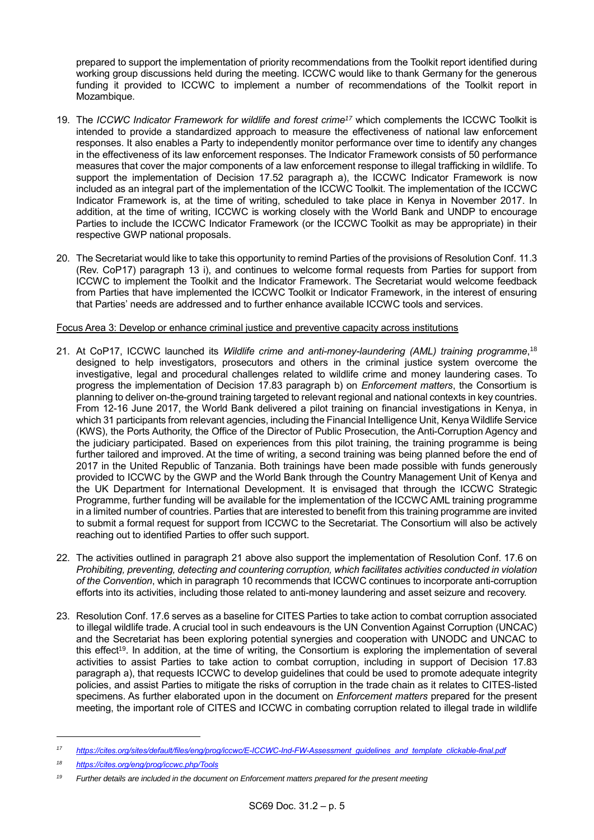prepared to support the implementation of priority recommendations from the Toolkit report identified during working group discussions held during the meeting. ICCWC would like to thank Germany for the generous funding it provided to ICCWC to implement a number of recommendations of the Toolkit report in Mozambique.

- 19. The *ICCWC Indicator Framework for wildlife and forest crime<sup>17</sup>* which complements the ICCWC Toolkit is intended to provide a standardized approach to measure the effectiveness of national law enforcement responses. It also enables a Party to independently monitor performance over time to identify any changes in the effectiveness of its law enforcement responses. The Indicator Framework consists of 50 performance measures that cover the major components of a law enforcement response to illegal trafficking in wildlife. To support the implementation of Decision 17.52 paragraph a), the ICCWC Indicator Framework is now included as an integral part of the implementation of the ICCWC Toolkit. The implementation of the ICCWC Indicator Framework is, at the time of writing, scheduled to take place in Kenya in November 2017. In addition, at the time of writing, ICCWC is working closely with the World Bank and UNDP to encourage Parties to include the ICCWC Indicator Framework (or the ICCWC Toolkit as may be appropriate) in their respective GWP national proposals.
- 20. The Secretariat would like to take this opportunity to remind Parties of the provisions of Resolution Conf. 11.3 (Rev. CoP17) paragraph 13 i), and continues to welcome formal requests from Parties for support from ICCWC to implement the Toolkit and the Indicator Framework. The Secretariat would welcome feedback from Parties that have implemented the ICCWC Toolkit or Indicator Framework, in the interest of ensuring that Parties' needs are addressed and to further enhance available ICCWC tools and services.

### Focus Area 3: Develop or enhance criminal justice and preventive capacity across institutions

- 21. At CoP17, ICCWC launched its *Wildlife crime and anti-money-laundering (AML) training programme*, 18 designed to help investigators, prosecutors and others in the criminal justice system overcome the investigative, legal and procedural challenges related to wildlife crime and money laundering cases. To progress the implementation of Decision 17.83 paragraph b) on *Enforcement matters*, the Consortium is planning to deliver on-the-ground training targeted to relevant regional and national contexts in key countries. From 12-16 June 2017, the World Bank delivered a pilot training on financial investigations in Kenya, in which 31 participants from relevant agencies, including the Financial Intelligence Unit, Kenya Wildlife Service (KWS), the Ports Authority, the Office of the Director of Public Prosecution, the Anti-Corruption Agency and the judiciary participated. Based on experiences from this pilot training, the training programme is being further tailored and improved. At the time of writing, a second training was being planned before the end of 2017 in the United Republic of Tanzania. Both trainings have been made possible with funds generously provided to ICCWC by the GWP and the World Bank through the Country Management Unit of Kenya and the UK Department for International Development. It is envisaged that through the ICCWC Strategic Programme, further funding will be available for the implementation of the ICCWC AML training programme in a limited number of countries. Parties that are interested to benefit from this training programme are invited to submit a formal request for support from ICCWC to the Secretariat. The Consortium will also be actively reaching out to identified Parties to offer such support.
- 22. The activities outlined in paragraph 21 above also support the implementation of Resolution Conf. 17.6 on *Prohibiting, preventing, detecting and countering corruption, which facilitates activities conducted in violation of the Convention*, which in paragraph 10 recommends that ICCWC continues to incorporate anti-corruption efforts into its activities, including those related to anti-money laundering and asset seizure and recovery.
- 23. Resolution Conf. 17.6 serves as a baseline for CITES Parties to take action to combat corruption associated to illegal wildlife trade. A crucial tool in such endeavours is the UN Convention Against Corruption (UNCAC) and the Secretariat has been exploring potential synergies and cooperation with UNODC and UNCAC to this effect<sup>19</sup>. In addition, at the time of writing, the Consortium is exploring the implementation of several activities to assist Parties to take action to combat corruption, including in support of Decision 17.83 paragraph a), that requests ICCWC to develop guidelines that could be used to promote adequate integrity policies, and assist Parties to mitigate the risks of corruption in the trade chain as it relates to CITES-listed specimens. As further elaborated upon in the document on *Enforcement matters* prepared for the present meeting, the important role of CITES and ICCWC in combating corruption related to illegal trade in wildlife

-

*<sup>17</sup> [https://cites.org/sites/default/files/eng/prog/iccwc/E-ICCWC-Ind-FW-Assessment\\_guidelines\\_and\\_template\\_clickable-final.pdf](https://cites.org/sites/default/files/eng/prog/iccwc/E-ICCWC-Ind-FW-Assessment_guidelines_and_template_clickable-final.pdf)*

*<sup>18</sup> <https://cites.org/eng/prog/iccwc.php/Tools>*

*<sup>19</sup> Further details are included in the document on Enforcement matters prepared for the present meeting*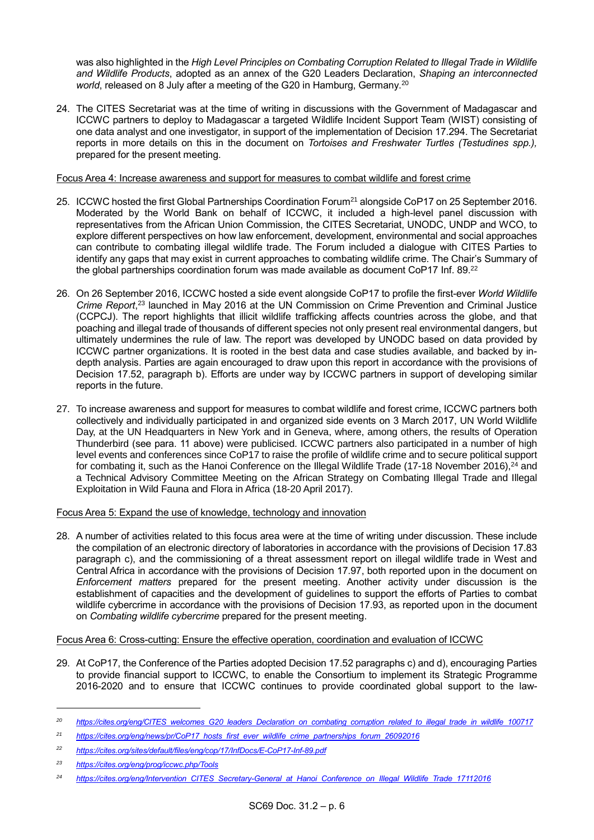was also highlighted in the *High Level Principles on Combating Corruption Related to Illegal Trade in Wildlife and Wildlife Products*, adopted as an annex of the G20 Leaders Declaration, *Shaping an interconnected world*, released on 8 July after a meeting of the G20 in Hamburg, Germany. 20

24. The CITES Secretariat was at the time of writing in discussions with the Government of Madagascar and ICCWC partners to deploy to Madagascar a targeted Wildlife Incident Support Team (WIST) consisting of one data analyst and one investigator, in support of the implementation of Decision 17.294. The Secretariat reports in more details on this in the document on *Tortoises and Freshwater Turtles (Testudines spp.),*  prepared for the present meeting.

### Focus Area 4: Increase awareness and support for measures to combat wildlife and forest crime

- 25. ICCWC hosted the first Global Partnerships Coordination Forum<sup>21</sup> alongside CoP17 on 25 September 2016. Moderated by the World Bank on behalf of ICCWC, it included a high-level panel discussion with representatives from the African Union Commission, the CITES Secretariat, UNODC, UNDP and WCO, to explore different perspectives on how law enforcement, development, environmental and social approaches can contribute to combating illegal wildlife trade. The Forum included a dialogue with CITES Parties to identify any gaps that may exist in current approaches to combating wildlife crime. The Chair's Summary of the global partnerships coordination forum was made available as document CoP17 Inf. 89. $^{22}$
- 26. On 26 September 2016, ICCWC hosted a side event alongside CoP17 to profile the first-ever *World Wildlife Crime Report*, <sup>23</sup> launched in May 2016 at the UN Commission on Crime Prevention and Criminal Justice (CCPCJ). The report highlights that illicit wildlife trafficking affects countries across the globe, and that poaching and illegal trade of thousands of different species not only present real environmental dangers, but ultimately undermines the rule of law. The report was developed by UNODC based on data provided by ICCWC partner organizations. It is rooted in the best data and case studies available, and backed by indepth analysis. Parties are again encouraged to draw upon this report in accordance with the provisions of Decision 17.52, paragraph b). Efforts are under way by ICCWC partners in support of developing similar reports in the future.
- 27. To increase awareness and support for measures to combat wildlife and forest crime, ICCWC partners both collectively and individually participated in and organized side events on 3 March 2017, UN World Wildlife Day, at the UN Headquarters in New York and in Geneva, where, among others, the results of Operation Thunderbird (see para. 11 above) were publicised. ICCWC partners also participated in a number of high level events and conferences since CoP17 to raise the profile of wildlife crime and to secure political support for combating it, such as the Hanoi Conference on the Illegal Wildlife Trade (17-18 November 2016),<sup>24</sup> and a Technical Advisory Committee Meeting on the African Strategy on Combating Illegal Trade and Illegal Exploitation in Wild Fauna and Flora in Africa (18-20 April 2017).

## Focus Area 5: Expand the use of knowledge, technology and innovation

28. A number of activities related to this focus area were at the time of writing under discussion. These include the compilation of an electronic directory of laboratories in accordance with the provisions of Decision 17.83 paragraph c), and the commissioning of a threat assessment report on illegal wildlife trade in West and Central Africa in accordance with the provisions of Decision 17.97, both reported upon in the document on *Enforcement matters* prepared for the present meeting. Another activity under discussion is the establishment of capacities and the development of guidelines to support the efforts of Parties to combat wildlife cybercrime in accordance with the provisions of Decision 17.93, as reported upon in the document on *Combating wildlife cybercrime* prepared for the present meeting.

# Focus Area 6: Cross-cutting: Ensure the effective operation, coordination and evaluation of ICCWC

29. At CoP17, the Conference of the Parties adopted Decision 17.52 paragraphs c) and d), encouraging Parties to provide financial support to ICCWC, to enable the Consortium to implement its Strategic Programme 2016-2020 and to ensure that ICCWC continues to provide coordinated global support to the law-

*<sup>20</sup> [https://cites.org/eng/CITES\\_welcomes\\_G20\\_leaders\\_Declaration\\_on\\_combating\\_corruption\\_related\\_to\\_illegal\\_trade\\_in\\_wildlife\\_100717](https://cites.org/eng/CITES_welcomes_G20_leaders_Declaration_on_combating_corruption_related_to_illegal_trade_in_wildlife_100717)*

<sup>&</sup>lt;sup>21</sup> *[https://cites.org/eng/news/pr/CoP17\\_hosts\\_first\\_ever\\_wildlife\\_crime\\_partnerships\\_forum\\_26092016](https://cites.org/eng/news/pr/CoP17_hosts_first_ever_wildlife_crime_partnerships_forum_26092016)* 

*<sup>22</sup> <https://cites.org/sites/default/files/eng/cop/17/InfDocs/E-CoP17-Inf-89.pdf>*

*<sup>23</sup> <https://cites.org/eng/prog/iccwc.php/Tools>*

*<sup>24</sup> [https://cites.org/eng/Intervention\\_CITES\\_Secretary-General\\_at\\_Hanoi\\_Conference\\_on\\_Illegal\\_Wildlife\\_Trade\\_17112016](https://cites.org/eng/Intervention_CITES_Secretary-General_at_Hanoi_Conference_on_Illegal_Wildlife_Trade_17112016)*